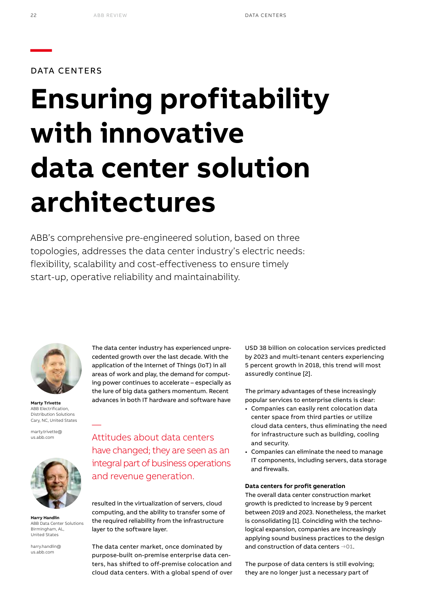DATA CENTERS

# **Ensuring profitability with innovative data center solution architectures**

ABB's comprehensive pre-engineered solution, based on three topologies, addresses the data center industry's electric needs: flexibility, scalability and cost-effectiveness to ensure timely start-up, operative reliability and maintainability.



**Marty Trivette** ABB Electrification, Distribution Solutions Cary, NC, United States

—

marty.trivette@ us.abb.com



**Harry Handlin** ABB Data Center Solutions Birmingham, AL, United States

harry.handlin@ us.abb.com

The data center industry has experienced unprecedented growth over the last decade. With the application of the Internet of Things (IoT) in all areas of work and play, the demand for computing power continues to accelerate – especially as the lure of big data gathers momentum. Recent advances in both IT hardware and software have

Attitudes about data centers have changed; they are seen as an integral part of business operations and revenue generation.

resulted in the virtualization of servers, cloud computing, and the ability to transfer some of the required reliability from the infrastructure layer to the software layer.

The data center market, once dominated by purpose-built on-premise enterprise data centers, has shifted to off-premise colocation and cloud data centers. With a global spend of over USD 38 billion on colocation services predicted by 2023 and multi-tenant centers experiencing 5 percent growth in 2018, this trend will most assuredly continue [2].

The primary advantages of these increasingly popular services to enterprise clients is clear:

- Companies can easily rent colocation data center space from third parties or utilize cloud data centers, thus eliminating the need for infrastructure such as building, cooling and security.
- Companies can eliminate the need to manage IT components, including servers, data storage and firewalls.

### **Data centers for profit generation**

The overall data center construction market growth is predicted to increase by 9 percent between 2019 and 2023. Nonetheless, the market is consolidating [1]. Coinciding with the technological expansion, companies are increasingly applying sound business practices to the design and construction of data centers **→01**.

The purpose of data centers is still evolving; they are no longer just a necessary part of

**—**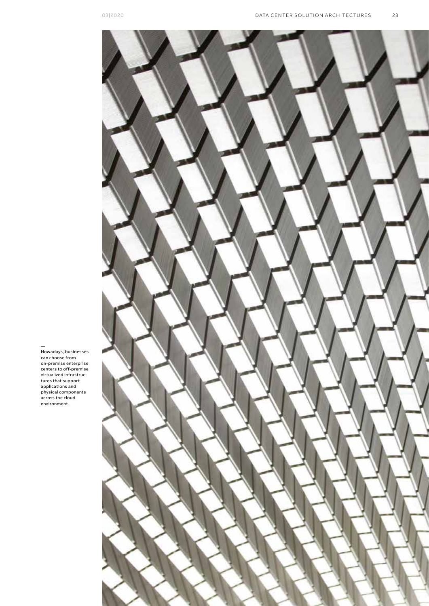

— Nowadays, businesses can choose from on-premise enterprise centers to off-premise virtualized infrastruc-tures that support applications and physical components across the cloud environment.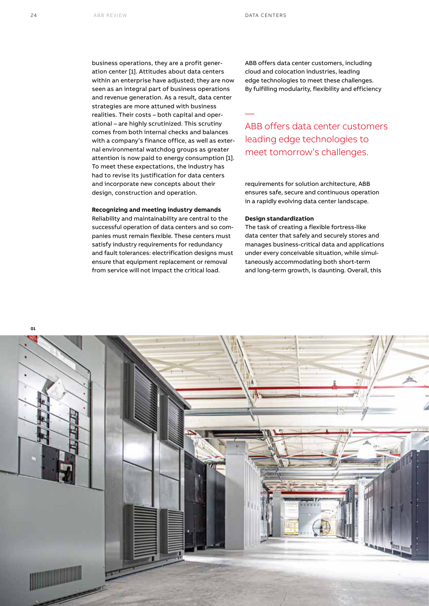—

business operations, they are a profit generation center [1]. Attitudes about data centers within an enterprise have adjusted; they are now seen as an integral part of business operations and revenue generation. As a result, data center strategies are more attuned with business realities. Their costs – both capital and operational – are highly scrutinized. This scrutiny comes from both internal checks and balances with a company's finance office, as well as external environmental watchdog groups as greater attention is now paid to energy consumption [1]. To meet these expectations, the industry has had to revise its justification for data centers and incorporate new concepts about their design, construction and operation.

# **Recognizing and meeting industry demands**

Reliability and maintainability are central to the successful operation of data centers and so companies must remain flexible. These centers must satisfy industry requirements for redundancy and fault tolerances: electrification designs must ensure that equipment replacement or removal from service will not impact the critical load.

ABB offers data center customers, including cloud and colocation industries, leading edge technologies to meet these challenges. By fulfilling modularity, flexibility and efficiency

# ABB offers data center customers leading edge technologies to meet tomorrow's challenges.

requirements for solution architecture, ABB ensures safe, secure and continuous operation in a rapidly evolving data center landscape.

## **Design standardization**

The task of creating a flexible fortress-like data center that safely and securely stores and manages business-critical data and applications under every conceivable situation, while simultaneously accommodating both short-term and long-term growth, is daunting. Overall, this

**01**

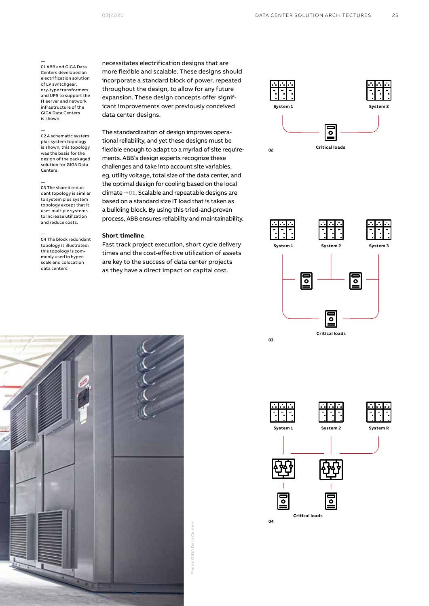— 01 ABB and GIGA Data Centers developed an electrification solution of LV switchgear, dry-type transformers and UPS to support the IT server and network infrastructure of the GIGA Data Centers is shown.

— 02 A schematic system plus system topology is shown; this topology was the basis for the design of the packaged solution for GIGA Data Centers.

— 03 The shared redundant topology is similar to system plus system topology except that it uses multiple systems to increase utilization and reduce costs.

— 04 The block redundant topology is illustrated; this topology is commonly used in hyperscale and colocation data centers.

necessitates electrification designs that are more flexible and scalable. These designs should incorporate a standard block of power, repeated throughout the design, to allow for any future expansion. These design concepts offer significant improvements over previously conceived data center designs.

The standardization of design improves operational reliability, and yet these designs must be flexible enough to adapt to a myriad of site requirements. ABB's design experts recognize these challenges and take into account site variables, eg, utility voltage, total size of the data center, and the optimal design for cooling based on the local climate **→01**. Scalable and repeatable designs are based on a standard size IT load that is taken as a building block. By using this tried-and-proven process, ABB ensures reliability and maintainability.

### **Short timeline**

Fast track project execution, short cycle delivery times and the cost-effective utilization of assets are key to the success of data center projects as they have a direct impact on capital cost.







Photo: GIGA Data Centers Photo: GIGA Data Centers

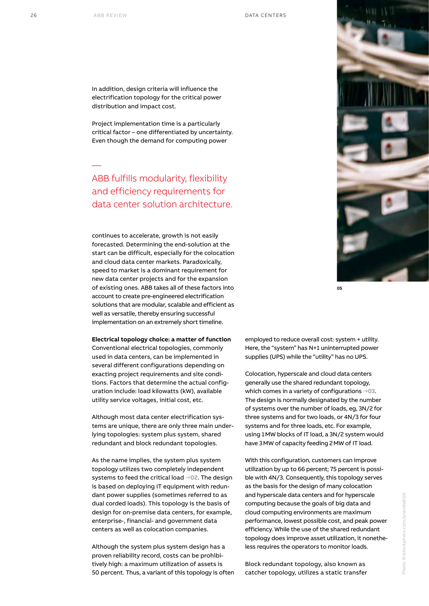—

In addition, design criteria will influence the electrification topology for the critical power distribution and impact cost.

Project implementation time is a particularly critical factor – one differentiated by uncertainty. Even though the demand for computing power

ABB fulfills modularity, flexibility and efficiency requirements for data center solution architecture.

continues to accelerate, growth is not easily forecasted. Determining the end-solution at the start can be difficult, especially for the colocation and cloud data center markets. Paradoxically, speed to market is a dominant requirement for new data center projects and for the expansion of existing ones. ABB takes all of these factors into account to create pre-engineered electrification solutions that are modular, scalable and efficient as well as versatile, thereby ensuring successful implementation on an extremely short timeline.

**Electrical topology choice: a matter of function** Conventional electrical topologies, commonly used in data centers, can be implemented in several different configurations depending on exacting project requirements and site conditions. Factors that determine the actual configuration include: load kilowatts (kW), available utility service voltages, initial cost, etc.

Although most data center electrification systems are unique, there are only three main underlying topologies: system plus system, shared redundant and block redundant topologies.

As the name implies, the system plus system topology utilizes two completely independent systems to feed the critical load **→02**. The design is based on deploying IT equipment with redundant power supplies (sometimes referred to as dual corded loads). This topology is the basis of design for on-premise data centers, for example, enterprise-, financial- and government data centers as well as colocation companies.

Although the system plus system design has a proven reliability record, costs can be prohibitively high: a maximum utilization of assets is 50 percent. Thus, a variant of this topology is often employed to reduce overall cost: system + utility. Here, the "system" has N+1 uninterrupted power supplies (UPS) while the "utility" has no UPS.

Colocation, hyperscale and cloud data centers generally use the shared redundant topology, which comes in a variety of configurations **→03**. The design is normally designated by the number of systems over the number of loads, eg, 3N/2 for three systems and for two loads, or 4N/3 for four systems and for three loads, etc. For example, using 1MW blocks of IT load, a 3N/2 system would have 3MW of capacity feeding 2MW of IT load.

With this configuration, customers can improve utilization by up to 66 percent; 75 percent is possible with 4N/3. Consequently, this topology serves as the basis for the design of many colocation and hyperscale data centers and for hyperscale computing because the goals of big data and cloud computing environments are maximum performance, lowest possible cost, and peak power efficiency. While the use of the shared redundant topology does improve asset utilization, it nonetheless requires the operators to monitor loads.

Block redundant topology, also known as catcher topology, utilizes a static transfer



**05**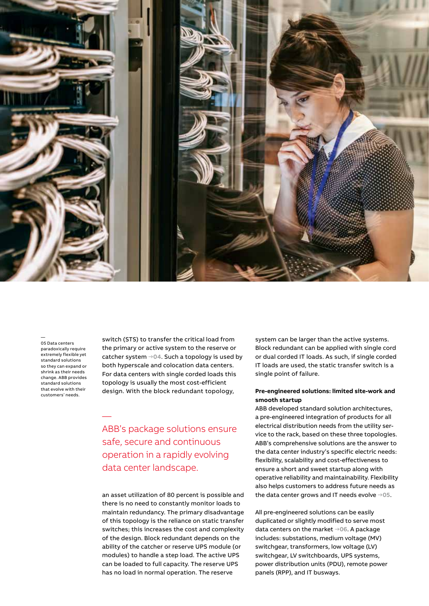

— 05 Data centers paradoxically require extremely flexible yet standard solutions so they can expand or shrink as their needs change. ABB provides standard solutions that evolve with their customers' needs.

—

switch (STS) to transfer the critical load from the primary or active system to the reserve or catcher system **→04**. Such a topology is used by both hyperscale and colocation data centers. For data centers with single corded loads this topology is usually the most cost-efficient design. With the block redundant topology,

# ABB's package solutions ensure safe, secure and continuous operation in a rapidly evolving data center landscape.

an asset utilization of 80 percent is possible and there is no need to constantly monitor loads to maintain redundancy. The primary disadvantage of this topology is the reliance on static transfer switches; this increases the cost and complexity of the design. Block redundant depends on the ability of the catcher or reserve UPS module (or modules) to handle a step load. The active UPS can be loaded to full capacity. The reserve UPS has no load in normal operation. The reserve

system can be larger than the active systems. Block redundant can be applied with single cord or dual corded IT loads. As such, if single corded IT loads are used, the static transfer switch is a single point of failure.

# **Pre-engineered solutions: limited site-work and smooth startup**

ABB developed standard solution architectures, a pre-engineered integration of products for all electrical distribution needs from the utility service to the rack, based on these three topologies. ABB's comprehensive solutions are the answer to the data center industry's specific electric needs: flexibility, scalability and cost-effectiveness to ensure a short and sweet startup along with operative reliability and maintainability. Flexibility also helps customers to address future needs as the data center grows and IT needs evolve **→05**.

All pre-engineered solutions can be easily duplicated or slightly modified to serve most data centers on the market **→06**. A package includes: substations, medium voltage (MV) switchgear, transformers, low voltage (LV) switchgear, LV switchboards, UPS systems, power distribution units (PDU), remote power panels (RPP), and IT busways.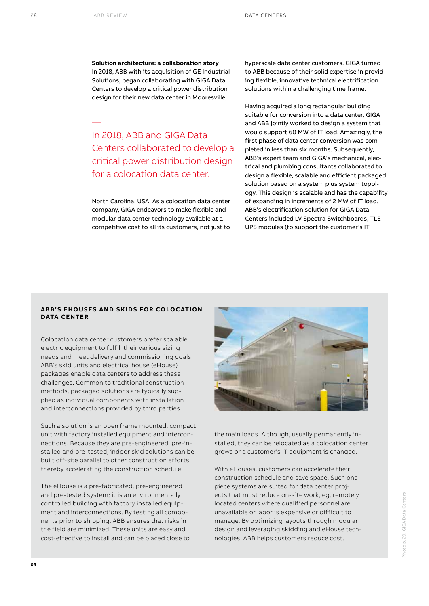—

**Solution architecture: a collaboration story** In 2018, ABB with its acquisition of GE Industrial Solutions, began collaborating with GIGA Data Centers to develop a critical power distribution design for their new data center in Mooresville,

In 2018, ABB and GIGA Data Centers collaborated to develop a critical power distribution design for a colocation data center.

North Carolina, USA. As a colocation data center company, GIGA endeavors to make flexible and modular data center technology available at a competitive cost to all its customers, not just to

hyperscale data center customers. GIGA turned to ABB because of their solid expertise in providing flexible, innovative technical electrification solutions within a challenging time frame.

Having acquired a long rectangular building suitable for conversion into a data center, GIGA and ABB jointly worked to design a system that would support 60 MW of IT load. Amazingly, the first phase of data center conversion was completed in less than six months. Subsequently, ABB's expert team and GIGA's mechanical, electrical and plumbing consultants collaborated to design a flexible, scalable and efficient packaged solution based on a system plus system topology. This design is scalable and has the capability of expanding in increments of 2 MW of IT load. ABB's electrification solution for GIGA Data Centers included LV Spectra Switchboards, TLE UPS modules (to support the customer's IT

# **ABB'S EHOUSES AND SKIDS FOR COLOCATION DATA CENTER**

Colocation data center customers prefer scalable electric equipment to fulfill their various sizing needs and meet delivery and commissioning goals. ABB's skid units and electrical house (eHouse) packages enable data centers to address these challenges. Common to traditional construction methods, packaged solutions are typically supplied as individual components with installation and interconnections provided by third parties.

Such a solution is an open frame mounted, compact unit with factory installed equipment and interconnections. Because they are pre-engineered, pre-installed and pre-tested, indoor skid solutions can be built off-site parallel to other construction efforts, thereby accelerating the construction schedule.

The eHouse is a pre-fabricated, pre-engineered and pre-tested system; it is an environmentally controlled building with factory installed equipment and interconnections. By testing all components prior to shipping, ABB ensures that risks in the field are minimized. These units are easy and cost-effective to install and can be placed close to



the main loads. Although, usually permanently installed, they can be relocated as a colocation center grows or a customer's IT equipment is changed.

With eHouses, customers can accelerate their construction schedule and save space. Such onepiece systems are suited for data center projects that must reduce on-site work, eg, remotely located centers where qualified personnel are unavailable or labor is expensive or difficult to manage. By optimizing layouts through modular design and leveraging skidding and eHouse technologies, ABB helps customers reduce cost.